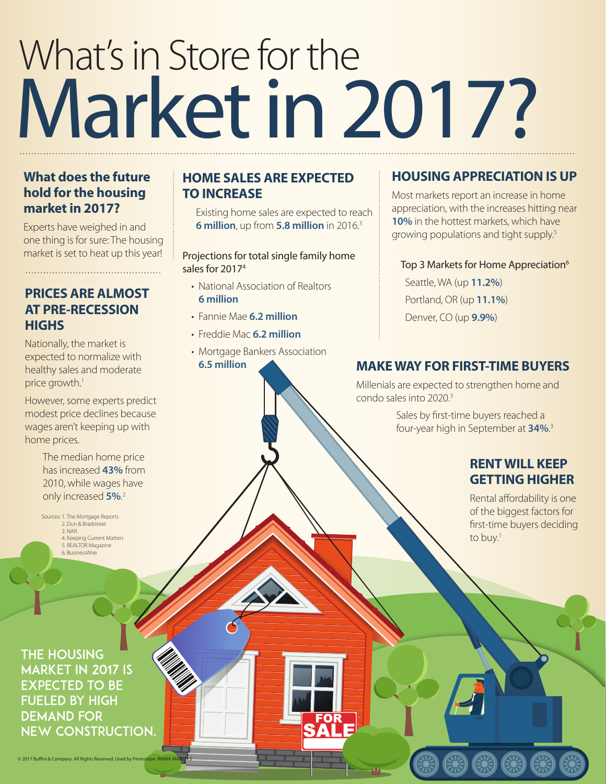# What's in Store for the Market in 2017?

#### **What does the future hold for the housing market in 2017?**

Experts have weighed in and one thing is for sure: The housing market is set to heat up this year!

#### **PRICES ARE ALMOST AT PRE-RECESSION HIGHS**

Nationally, the market is expected to normalize with healthy sales and moderate price growth.<sup>1</sup>

However, some experts predict modest price declines because wages aren't keeping up with home prices.

> The median home price has increased **43%** from 2010, while wages have only increased **5%**. 2

Sources: 1. The Mortgage Reports 2. Dun & Bradstreet 3. NAR 4. Keeping Current Matters 5. REALTOR Magazine 6. BusinessWire

#### **HOME SALES ARE EXPECTED TO INCREASE**

Existing home sales are expected to reach **6 million**, up from **5.8 million** in 2016.3

#### Projections for total single family home sales for 20174

- National Association of Realtors **6 million**
- Fannie Mae **6.2 million**
- Freddie Mac **6.2 million**
- Mortgage Bankers Association

**FOR** 

**6.5 million**

#### **HOUSING APPRECIATION IS UP**

Most markets report an increase in home appreciation, with the increases hitting near **10%** in the hottest markets, which have growing populations and tight supply.5

#### Top 3 Markets for Home Appreciation<sup>6</sup>

Seattle, WA (up **11.2%**) Portland, OR (up **11.1%**) Denver, CO (up **9.9%**)

#### **MAKE WAY FOR FIRST-TIME BUYERS**

Millenials are expected to strengthen home and condo sales into 2020.3

> Sales by first-time buyers reached a four-year high in September at **34%**. 3

#### **RENT WILL KEEP GETTING HIGHER**

Rental affordability is one of the biggest factors for first-time buyers deciding to buy.<sup>1</sup>

The housing market in 2017 is expected to be fueled by high demand for new construction.

© 2017 Buffini & Company. All Rights Reserved. Used by Per